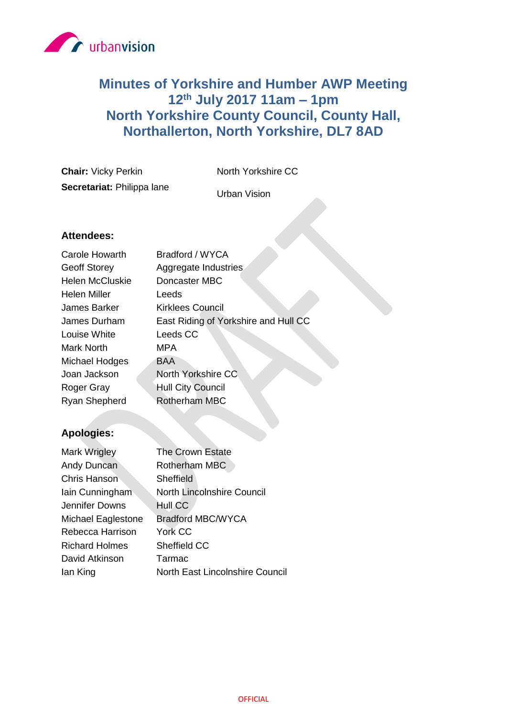

# **Minutes of Yorkshire and Humber AWP Meeting 12th July 2017 11am – 1pm North Yorkshire County Council, County Hall, Northallerton, North Yorkshire, DL7 8AD**

**Chair:** Vicky Perkin North Yorkshire CC **Secretariat:** Philippa lane

Urban Vision

## **Attendees:**

| <b>Carole Howarth</b>  | Bradford / WYCA                      |
|------------------------|--------------------------------------|
| <b>Geoff Storey</b>    | Aggregate Industries                 |
| <b>Helen McCluskie</b> | Doncaster MBC                        |
| Helen Miller           | Leeds                                |
| James Barker           | Kirklees Council                     |
| James Durham           | East Riding of Yorkshire and Hull CC |
| Louise White           | Leeds CC                             |
| <b>Mark North</b>      | MPA                                  |
| Michael Hodges         | BAA                                  |
| Joan Jackson           | North Yorkshire CC                   |
| <b>Roger Gray</b>      | <b>Hull City Council</b>             |
| Ryan Shepherd          | <b>Rotherham MBC</b>                 |

# **Apologies:**

| Mark Wrigley          | The Crown Estate                |
|-----------------------|---------------------------------|
| Andy Duncan           | Rotherham MBC                   |
| Chris Hanson          | <b>Sheffield</b>                |
| lain Cunningham       | North Lincolnshire Council      |
| Jennifer Downs        | Hull CC                         |
| Michael Eaglestone    | <b>Bradford MBC/WYCA</b>        |
| Rebecca Harrison      | York CC                         |
| <b>Richard Holmes</b> | Sheffield CC                    |
| David Atkinson        | Tarmac                          |
| lan King              | North East Lincolnshire Council |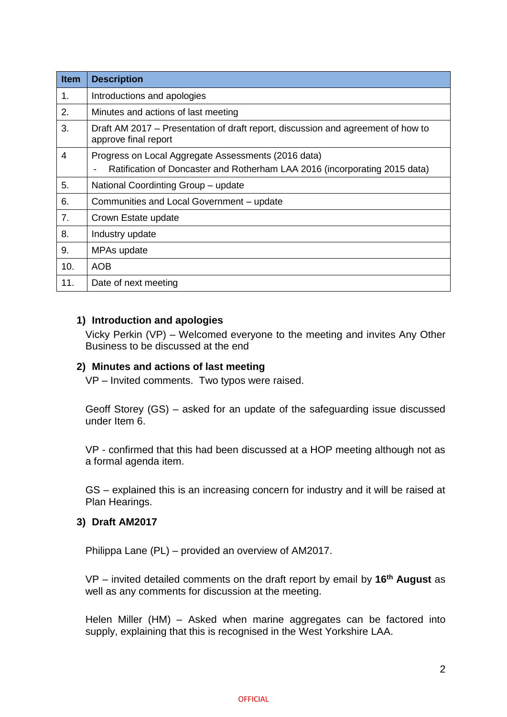| Item           | <b>Description</b>                                                                                       |
|----------------|----------------------------------------------------------------------------------------------------------|
| 1.             | Introductions and apologies                                                                              |
| 2.             | Minutes and actions of last meeting                                                                      |
| 3.             | Draft AM 2017 - Presentation of draft report, discussion and agreement of how to<br>approve final report |
| $\overline{4}$ | Progress on Local Aggregate Assessments (2016 data)                                                      |
|                | Ratification of Doncaster and Rotherham LAA 2016 (incorporating 2015 data)                               |
| 5.             | National Coordinting Group - update                                                                      |
| 6.             | Communities and Local Government - update                                                                |
| 7.             | Crown Estate update                                                                                      |
| 8.             | Industry update                                                                                          |
| 9.             | MPAs update                                                                                              |
| 10.            | <b>AOB</b>                                                                                               |
| 11.            | Date of next meeting                                                                                     |

## **1) Introduction and apologies**

Vicky Perkin (VP) – Welcomed everyone to the meeting and invites Any Other Business to be discussed at the end

## **2) Minutes and actions of last meeting**

VP – Invited comments. Two typos were raised.

Geoff Storey (GS) – asked for an update of the safeguarding issue discussed under Item 6.

VP - confirmed that this had been discussed at a HOP meeting although not as a formal agenda item.

GS – explained this is an increasing concern for industry and it will be raised at Plan Hearings.

## **3) Draft AM2017**

Philippa Lane (PL) – provided an overview of AM2017.

VP – invited detailed comments on the draft report by email by **16th August** as well as any comments for discussion at the meeting.

Helen Miller (HM) – Asked when marine aggregates can be factored into supply, explaining that this is recognised in the West Yorkshire LAA.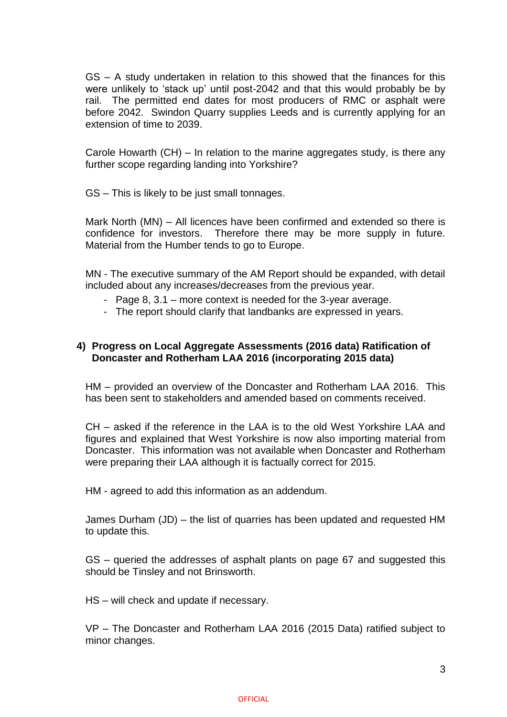GS – A study undertaken in relation to this showed that the finances for this were unlikely to 'stack up' until post-2042 and that this would probably be by rail. The permitted end dates for most producers of RMC or asphalt were before 2042. Swindon Quarry supplies Leeds and is currently applying for an extension of time to 2039.

Carole Howarth (CH) – In relation to the marine aggregates study, is there any further scope regarding landing into Yorkshire?

GS – This is likely to be just small tonnages.

Mark North (MN) – All licences have been confirmed and extended so there is confidence for investors. Therefore there may be more supply in future. Material from the Humber tends to go to Europe.

MN - The executive summary of the AM Report should be expanded, with detail included about any increases/decreases from the previous year.

- Page 8, 3.1 more context is needed for the 3-year average.
- The report should clarify that landbanks are expressed in years.

## **4) Progress on Local Aggregate Assessments (2016 data) Ratification of Doncaster and Rotherham LAA 2016 (incorporating 2015 data)**

HM – provided an overview of the Doncaster and Rotherham LAA 2016. This has been sent to stakeholders and amended based on comments received.

CH – asked if the reference in the LAA is to the old West Yorkshire LAA and figures and explained that West Yorkshire is now also importing material from Doncaster. This information was not available when Doncaster and Rotherham were preparing their LAA although it is factually correct for 2015.

HM - agreed to add this information as an addendum.

James Durham (JD) – the list of quarries has been updated and requested HM to update this.

GS – queried the addresses of asphalt plants on page 67 and suggested this should be Tinsley and not Brinsworth.

HS – will check and update if necessary.

VP – The Doncaster and Rotherham LAA 2016 (2015 Data) ratified subject to minor changes.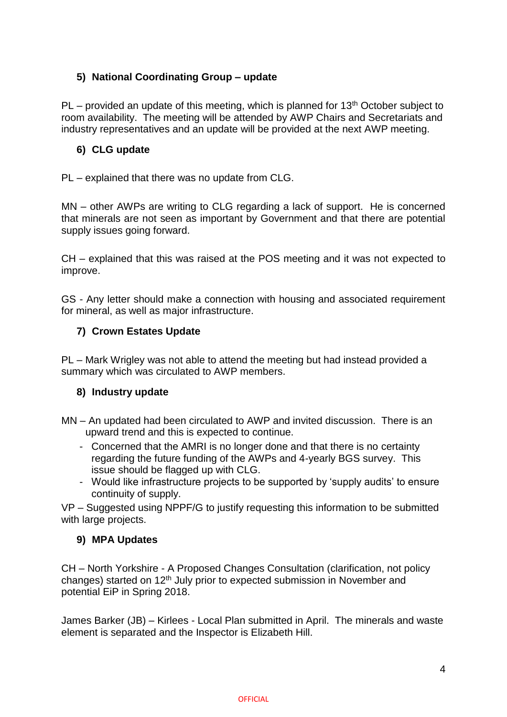# **5) National Coordinating Group – update**

 $PL$  – provided an update of this meeting, which is planned for 13<sup>th</sup> October subject to room availability. The meeting will be attended by AWP Chairs and Secretariats and industry representatives and an update will be provided at the next AWP meeting.

## **6) CLG update**

PL – explained that there was no update from CLG.

MN – other AWPs are writing to CLG regarding a lack of support. He is concerned that minerals are not seen as important by Government and that there are potential supply issues going forward.

CH – explained that this was raised at the POS meeting and it was not expected to improve.

GS - Any letter should make a connection with housing and associated requirement for mineral, as well as major infrastructure.

## **7) Crown Estates Update**

PL – Mark Wrigley was not able to attend the meeting but had instead provided a summary which was circulated to AWP members.

## **8) Industry update**

MN – An updated had been circulated to AWP and invited discussion. There is an upward trend and this is expected to continue.

- Concerned that the AMRI is no longer done and that there is no certainty regarding the future funding of the AWPs and 4-yearly BGS survey. This issue should be flagged up with CLG.
- Would like infrastructure projects to be supported by 'supply audits' to ensure continuity of supply.

VP – Suggested using NPPF/G to justify requesting this information to be submitted with large projects.

## **9) MPA Updates**

CH – North Yorkshire - A Proposed Changes Consultation (clarification, not policy changes) started on 12<sup>th</sup> July prior to expected submission in November and potential EiP in Spring 2018.

James Barker (JB) – Kirlees - Local Plan submitted in April. The minerals and waste element is separated and the Inspector is Elizabeth Hill.